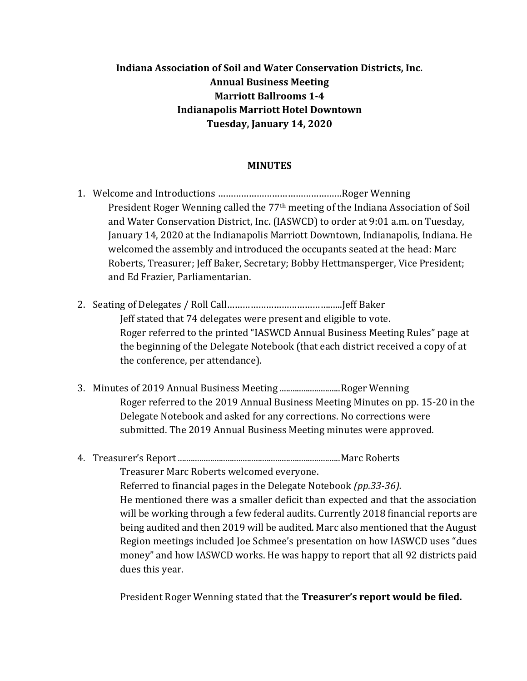## **Indiana Association of Soil and Water Conservation Districts, Inc. Annual Business Meeting Marriott Ballrooms 1-4 Indianapolis Marriott Hotel Downtown Tuesday, January 14, 2020**

## **MINUTES**

- 1. Welcome and Introductions …………………………………………Roger Wenning President Roger Wenning called the 77th meeting of the Indiana Association of Soil and Water Conservation District, Inc. (IASWCD) to order at 9:01 a.m. on Tuesday, January 14, 2020 at the Indianapolis Marriott Downtown, Indianapolis, Indiana. He welcomed the assembly and introduced the occupants seated at the head: Marc Roberts, Treasurer; Jeff Baker, Secretary; Bobby Hettmansperger, Vice President; and Ed Frazier, Parliamentarian.
- 2. Seating of Delegates / Roll Call………………………………….…..Jeff Baker Jeff stated that 74 delegates were present and eligible to vote. Roger referred to the printed "IASWCD Annual Business Meeting Rules" page at the beginning of the Delegate Notebook (that each district received a copy of at the conference, per attendance).
- 3. Minutes of 2019 Annual Business Meeting ............................Roger Wenning Roger referred to the 2019 Annual Business Meeting Minutes on pp. 15-20 in the Delegate Notebook and asked for any corrections. No corrections were submitted. The 2019 Annual Business Meeting minutes were approved.

## 4. Treasurer's Report...........................................................................Marc Roberts

Treasurer Marc Roberts welcomed everyone. Referred to financial pages in the Delegate Notebook *(pp.33-36).* He mentioned there was a smaller deficit than expected and that the association will be working through a few federal audits. Currently 2018 financial reports are being audited and then 2019 will be audited. Marc also mentioned that the August Region meetings included Joe Schmee's presentation on how IASWCD uses "dues money" and how IASWCD works. He was happy to report that all 92 districts paid dues this year.

President Roger Wenning stated that the **Treasurer's report would be filed.**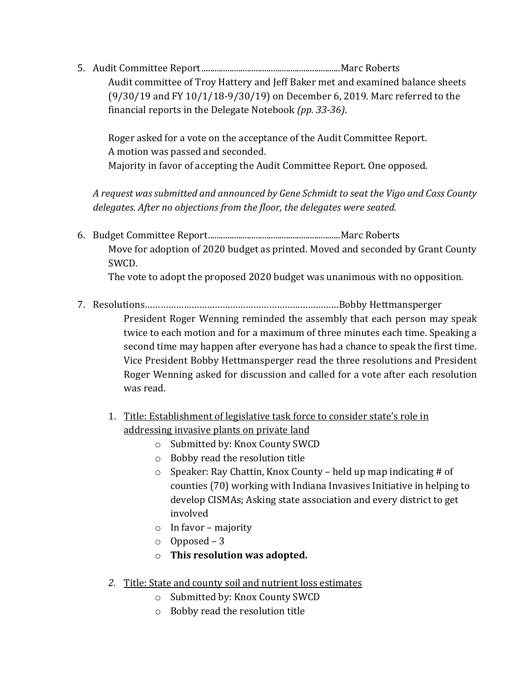5. Audit Committee Report................................................................Marc Roberts Audit committee of Troy Hattery and Jeff Baker met and examined balance sheets (9/30/19 and FY 10/1/18-9/30/19) on December 6, 2019. Marc referred to the financial reports in the Delegate Notebook *(pp. 33-36)*.

Roger asked for a vote on the acceptance of the Audit Committee Report. A motion was passed and seconded. Majority in favor of accepting the Audit Committee Report. One opposed.

*A request was submitted and announced by Gene Schmidt to seat the Vigo and Cass County delegates. After no objections from the floor, the delegates were seated.* 

6. Budget Committee Report.............................................................Marc Roberts Move for adoption of 2020 budget as printed. Moved and seconded by Grant County SWCD.

The vote to adopt the proposed 2020 budget was unanimous with no opposition.

7. Resolutions…………………………………………………………………Bobby Hettmansperger

President Roger Wenning reminded the assembly that each person may speak twice to each motion and for a maximum of three minutes each time. Speaking a second time may happen after everyone has had a chance to speak the first time. Vice President Bobby Hettmansperger read the three resolutions and President Roger Wenning asked for discussion and called for a vote after each resolution was read.

- 1. Title: Establishment of legislative task force to consider state's role in addressing invasive plants on private land
	- o Submitted by: Knox County SWCD
	- o Bobby read the resolution title
	- $\circ$  Speaker: Ray Chattin, Knox County held up map indicating # of counties (70) working with Indiana Invasives Initiative in helping to develop CISMAs; Asking state association and every district to get involved
	- o In favor majority
	- o Opposed 3
	- o **This resolution was adopted.**
- *2.* Title: State and county soil and nutrient loss estimates
	- o Submitted by: Knox County SWCD
	- o Bobby read the resolution title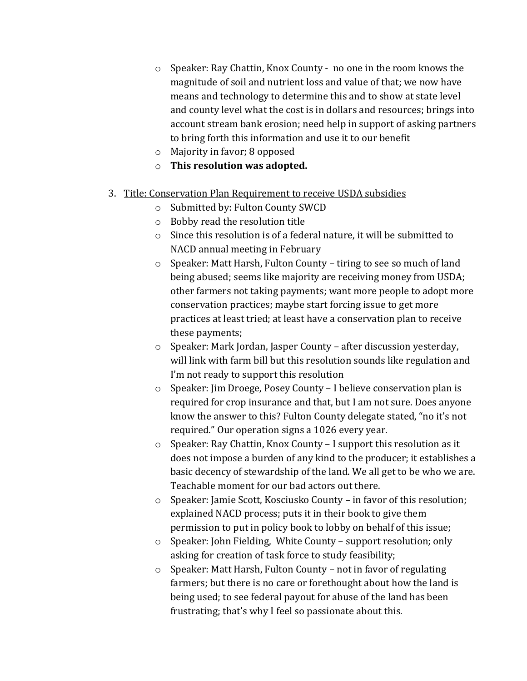- o Speaker: Ray Chattin, Knox County no one in the room knows the magnitude of soil and nutrient loss and value of that; we now have means and technology to determine this and to show at state level and county level what the cost is in dollars and resources; brings into account stream bank erosion; need help in support of asking partners to bring forth this information and use it to our benefit
- o Majority in favor; 8 opposed
- o **This resolution was adopted.**
- 3. Title: Conservation Plan Requirement to receive USDA subsidies
	- o Submitted by: Fulton County SWCD
	- o Bobby read the resolution title
	- o Since this resolution is of a federal nature, it will be submitted to NACD annual meeting in February
	- o Speaker: Matt Harsh, Fulton County tiring to see so much of land being abused; seems like majority are receiving money from USDA; other farmers not taking payments; want more people to adopt more conservation practices; maybe start forcing issue to get more practices at least tried; at least have a conservation plan to receive these payments;
	- o Speaker: Mark Jordan, Jasper County after discussion yesterday, will link with farm bill but this resolution sounds like regulation and I'm not ready to support this resolution
	- o Speaker: Jim Droege, Posey County I believe conservation plan is required for crop insurance and that, but I am not sure. Does anyone know the answer to this? Fulton County delegate stated, "no it's not required." Our operation signs a 1026 every year.
	- o Speaker: Ray Chattin, Knox County I support this resolution as it does not impose a burden of any kind to the producer; it establishes a basic decency of stewardship of the land. We all get to be who we are. Teachable moment for our bad actors out there.
	- o Speaker: Jamie Scott, Kosciusko County in favor of this resolution; explained NACD process; puts it in their book to give them permission to put in policy book to lobby on behalf of this issue;
	- o Speaker: John Fielding, White County support resolution; only asking for creation of task force to study feasibility;
	- o Speaker: Matt Harsh, Fulton County not in favor of regulating farmers; but there is no care or forethought about how the land is being used; to see federal payout for abuse of the land has been frustrating; that's why I feel so passionate about this.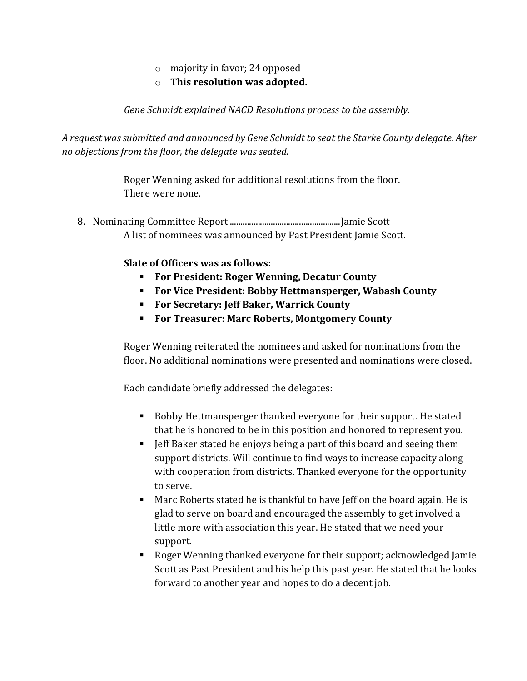- o majority in favor; 24 opposed
- o **This resolution was adopted.**

*Gene Schmidt explained NACD Resolutions process to the assembly.* 

*A request was submitted and announced by Gene Schmidt to seat the Starke County delegate. After no objections from the floor, the delegate was seated.* 

> Roger Wenning asked for additional resolutions from the floor. There were none.

8. Nominating Committee Report...................................................Jamie Scott A list of nominees was announced by Past President Jamie Scott.

**Slate of Officers was as follows:**

- **For President: Roger Wenning, Decatur County**
- **For Vice President: Bobby Hettmansperger, Wabash County**
- **For Secretary: Jeff Baker, Warrick County**
- **For Treasurer: Marc Roberts, Montgomery County**

Roger Wenning reiterated the nominees and asked for nominations from the floor. No additional nominations were presented and nominations were closed.

Each candidate briefly addressed the delegates:

- Bobby Hettmansperger thanked everyone for their support. He stated that he is honored to be in this position and honored to represent you.
- Jeff Baker stated he enjoys being a part of this board and seeing them support districts. Will continue to find ways to increase capacity along with cooperation from districts. Thanked everyone for the opportunity to serve.
- Marc Roberts stated he is thankful to have Jeff on the board again. He is glad to serve on board and encouraged the assembly to get involved a little more with association this year. He stated that we need your support.
- Roger Wenning thanked everyone for their support; acknowledged Jamie Scott as Past President and his help this past year. He stated that he looks forward to another year and hopes to do a decent job.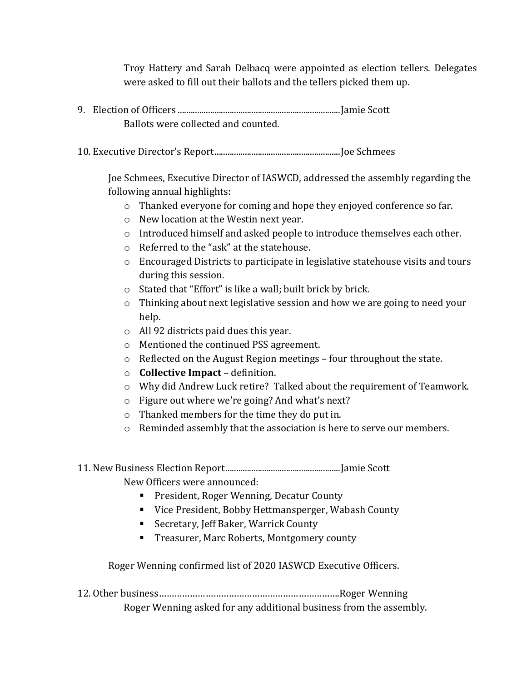Troy Hattery and Sarah Delbacq were appointed as election tellers. Delegates were asked to fill out their ballots and the tellers picked them up.

- 9. Election of Officers ...........................................................................Jamie Scott Ballots were collected and counted.
- 10. Executive Director's Report..........................................................Joe Schmees

Joe Schmees, Executive Director of IASWCD, addressed the assembly regarding the following annual highlights:

- o Thanked everyone for coming and hope they enjoyed conference so far.
- o New location at the Westin next year.
- $\circ$  Introduced himself and asked people to introduce themselves each other.
- o Referred to the "ask" at the statehouse.
- $\circ$  Encouraged Districts to participate in legislative statehouse visits and tours during this session.
- o Stated that "Effort" is like a wall; built brick by brick.
- o Thinking about next legislative session and how we are going to need your help.
- o All 92 districts paid dues this year.
- o Mentioned the continued PSS agreement.
- o Reflected on the August Region meetings four throughout the state.
- o **Collective Impact** definition.
- o Why did Andrew Luck retire? Talked about the requirement of Teamwork.
- o Figure out where we're going? And what's next?
- o Thanked members for the time they do put in.
- $\circ$  Reminded assembly that the association is here to serve our members.
- 11. New Business Election Report.....................................................Jamie Scott

New Officers were announced:

- **President, Roger Wenning, Decatur County**
- Vice President, Bobby Hettmansperger, Wabash County
- Secretary, Jeff Baker, Warrick County
- **Treasurer, Marc Roberts, Montgomery county**

Roger Wenning confirmed list of 2020 IASWCD Executive Officers.

12. Other business…………………………………………………………….Roger Wenning Roger Wenning asked for any additional business from the assembly.